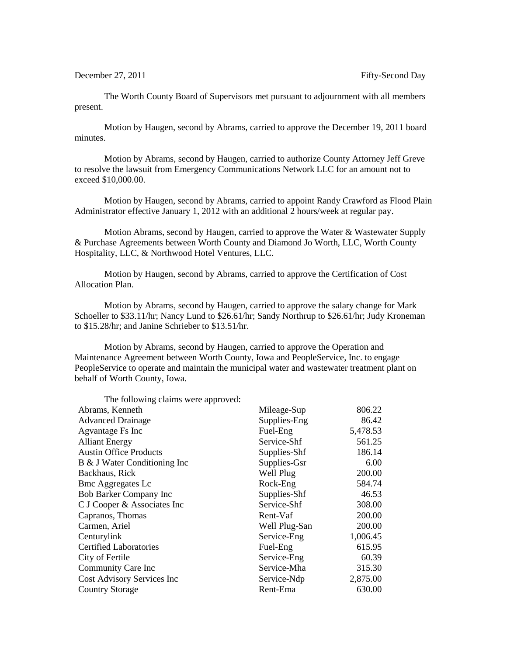December 27, 2011 **Figure 27, 2011** Fifty-Second Day

The Worth County Board of Supervisors met pursuant to adjournment with all members present.

Motion by Haugen, second by Abrams, carried to approve the December 19, 2011 board minutes.

Motion by Abrams, second by Haugen, carried to authorize County Attorney Jeff Greve to resolve the lawsuit from Emergency Communications Network LLC for an amount not to exceed \$10,000.00.

Motion by Haugen, second by Abrams, carried to appoint Randy Crawford as Flood Plain Administrator effective January 1, 2012 with an additional 2 hours/week at regular pay.

Motion Abrams, second by Haugen, carried to approve the Water & Wastewater Supply & Purchase Agreements between Worth County and Diamond Jo Worth, LLC, Worth County Hospitality, LLC, & Northwood Hotel Ventures, LLC.

Motion by Haugen, second by Abrams, carried to approve the Certification of Cost Allocation Plan.

Motion by Abrams, second by Haugen, carried to approve the salary change for Mark Schoeller to \$33.11/hr; Nancy Lund to \$26.61/hr; Sandy Northrup to \$26.61/hr; Judy Kroneman to \$15.28/hr; and Janine Schrieber to \$13.51/hr.

Motion by Abrams, second by Haugen, carried to approve the Operation and Maintenance Agreement between Worth County, Iowa and PeopleService, Inc. to engage PeopleService to operate and maintain the municipal water and wastewater treatment plant on behalf of Worth County, Iowa.

| The following claims were approved: |               |          |
|-------------------------------------|---------------|----------|
| Abrams, Kenneth                     | Mileage-Sup   | 806.22   |
| <b>Advanced Drainage</b>            | Supplies-Eng  | 86.42    |
| Agvantage Fs Inc                    | Fuel-Eng      | 5,478.53 |
| <b>Alliant Energy</b>               | Service-Shf   | 561.25   |
| <b>Austin Office Products</b>       | Supplies-Shf  | 186.14   |
| B & J Water Conditioning Inc        | Supplies-Gsr  | 6.00     |
| Backhaus, Rick                      | Well Plug     | 200.00   |
| <b>Bmc Aggregates Lc</b>            | Rock-Eng      | 584.74   |
| Bob Barker Company Inc              | Supplies-Shf  | 46.53    |
| C J Cooper & Associates Inc         | Service-Shf   | 308.00   |
| Capranos, Thomas                    | Rent-Vaf      | 200.00   |
| Carmen, Ariel                       | Well Plug-San | 200.00   |
| Centurylink                         | Service-Eng   | 1,006.45 |
| <b>Certified Laboratories</b>       | Fuel-Eng      | 615.95   |
| City of Fertile                     | Service-Eng   | 60.39    |
| Community Care Inc                  | Service-Mha   | 315.30   |
| Cost Advisory Services Inc          | Service-Ndp   | 2,875.00 |
| <b>Country Storage</b>              | Rent-Ema      | 630.00   |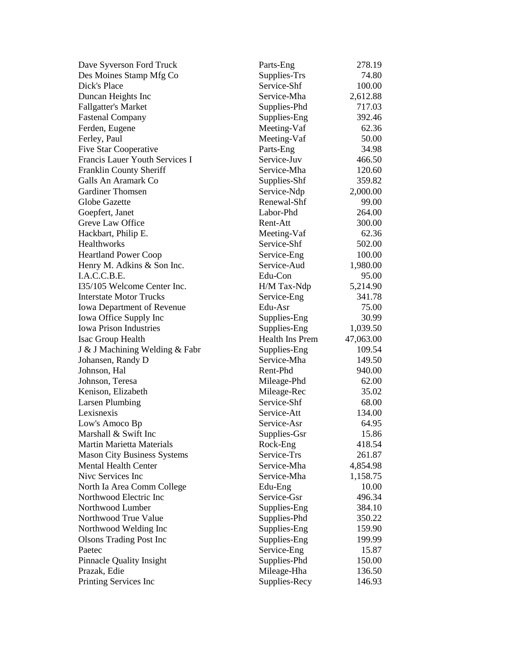| Dave Syverson Ford Truck              | Parts-Eng                    | 278.19    |
|---------------------------------------|------------------------------|-----------|
| Des Moines Stamp Mfg Co               | Supplies-Trs                 | 74.80     |
| Dick's Place                          | Service-Shf                  | 100.00    |
| Duncan Heights Inc                    | Service-Mha                  | 2,612.88  |
| <b>Fallgatter's Market</b>            | Supplies-Phd                 | 717.03    |
| <b>Fastenal Company</b>               | Supplies-Eng                 | 392.46    |
| Ferden, Eugene                        | Meeting-Vaf                  | 62.36     |
| Ferley, Paul                          | Meeting-Vaf                  | 50.00     |
| <b>Five Star Cooperative</b>          | Parts-Eng                    | 34.98     |
| Francis Lauer Youth Services I        | Service-Juv                  | 466.50    |
| <b>Franklin County Sheriff</b>        | Service-Mha                  | 120.60    |
| Galls An Aramark Co                   | Supplies-Shf                 | 359.82    |
| <b>Gardiner Thomsen</b>               | Service-Ndp                  | 2,000.00  |
| Globe Gazette                         | Renewal-Shf                  | 99.00     |
| Goepfert, Janet                       | Labor-Phd                    | 264.00    |
| Greve Law Office                      | Rent-Att                     | 300.00    |
| Hackbart, Philip E.                   | Meeting-Vaf                  | 62.36     |
| Healthworks                           | Service-Shf                  | 502.00    |
| <b>Heartland Power Coop</b>           | Service-Eng                  | 100.00    |
| Henry M. Adkins & Son Inc.            | Service-Aud                  | 1,980.00  |
| I.A.C.C.B.E.                          | Edu-Con                      | 95.00     |
| 135/105 Welcome Center Inc.           | H/M Tax-Ndp                  | 5,214.90  |
| <b>Interstate Motor Trucks</b>        | Service-Eng                  | 341.78    |
| <b>Iowa Department of Revenue</b>     | Edu-Asr                      | 75.00     |
| Iowa Office Supply Inc                | Supplies-Eng                 | 30.99     |
| <b>Iowa Prison Industries</b>         | Supplies-Eng                 | 1,039.50  |
| Isac Group Health                     | Health Ins Prem              | 47,063.00 |
| J & J Machining Welding & Fabr        | Supplies-Eng                 | 109.54    |
| Johansen, Randy D                     | Service-Mha                  | 149.50    |
| Johnson, Hal                          | Rent-Phd                     | 940.00    |
| Johnson, Teresa                       | Mileage-Phd                  | 62.00     |
| Kenison, Elizabeth                    | Mileage-Rec                  | 35.02     |
| <b>Larsen Plumbing</b>                | Service-Shf                  | 68.00     |
| Lexisnexis                            | Service-Att                  | 134.00    |
| Low's Amoco Bp                        | Service-Asr                  | 64.95     |
| Marshall & Swift Inc                  | Supplies-Gsr                 | 15.86     |
| <b>Martin Marietta Materials</b>      | Rock-Eng                     | 418.54    |
| <b>Mason City Business Systems</b>    | Service-Trs                  | 261.87    |
| <b>Mental Health Center</b>           | Service-Mha                  | 4,854.98  |
| Nive Services Inc                     | Service-Mha                  | 1,158.75  |
| North Ia Area Comm College            | Edu-Eng                      | 10.00     |
| Northwood Electric Inc                |                              |           |
|                                       | Service-Gsr                  | 496.34    |
| Northwood Lumber                      | Supplies-Eng                 | 384.10    |
| Northwood True Value                  | Supplies-Phd                 | 350.22    |
| Northwood Welding Inc                 | Supplies-Eng                 | 159.90    |
| <b>Olsons Trading Post Inc</b>        | Supplies-Eng                 | 199.99    |
| Paetec                                | Service-Eng                  | 15.87     |
| <b>Pinnacle Quality Insight</b>       | Supplies-Phd                 | 150.00    |
| Prazak, Edie<br>Printing Services Inc | Mileage-Hha<br>Supplies-Recy | 136.50    |